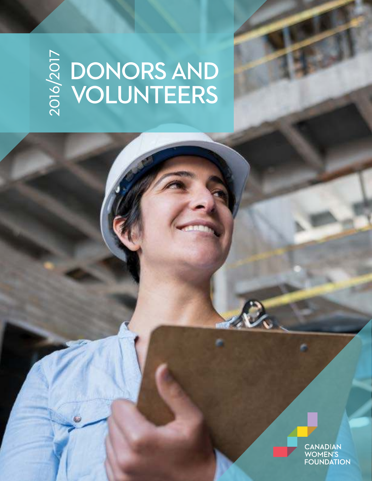# $\frac{2}{9}$  DONORS AND<br>2010 VOLUNTEERS VOLUNTEERS

CANADIAN<br>WOMEN'S<br>FOUNDATION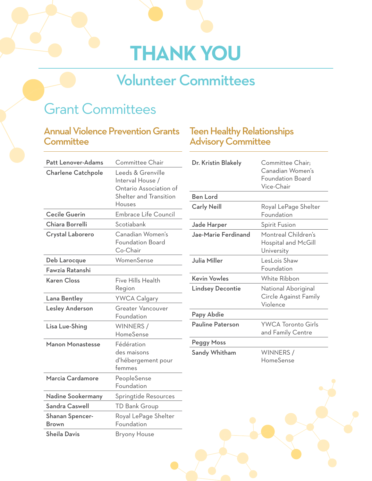### Volunteer Committees

### Grant Committees

#### Annual Violence Prevention Grants **Committee**

| <b>Patt Lenover-Adams</b>       | Committee Chair                                                                                            |
|---------------------------------|------------------------------------------------------------------------------------------------------------|
| <b>Charlene Catchpole</b>       | Leeds & Grenville<br>Interval House /<br>Ontario Association of<br><b>Shelter and Transition</b><br>Houses |
| <b>Cecile Guerin</b>            | <b>Embrace Life Council</b>                                                                                |
| Chiara Borrelli                 | Scotiabank                                                                                                 |
| Crystal Laborero                | Canadian Women's<br><b>Foundation Board</b><br>Co-Chair                                                    |
| Deb Larocque                    | WomenSense                                                                                                 |
| Fawzia Ratanshi                 |                                                                                                            |
| <b>Karen Closs</b>              | Five Hills Health<br>Region                                                                                |
| Lana Bentley                    | <b>YWCA Calgary</b>                                                                                        |
| <b>Lesley Anderson</b>          | Greater Vancouver<br>Foundation                                                                            |
| Lisa Lue-Shing                  | WINNERS /<br>HomeSense                                                                                     |
| <b>Manon Monastesse</b>         | Fédération<br>des maisons<br>d'hébergement pour<br>femmes                                                  |
| Marcia Cardamore                | PeopleSense<br>Foundation                                                                                  |
| Nadine Sookermany               | Springtide Resources                                                                                       |
| <b>Sandra Caswell</b>           | TD Bank Group                                                                                              |
| <b>Shanan Spencer-</b><br>Brown | Royal LePage Shelter<br>Foundation                                                                         |
| <b>Sheila Davis</b>             | <b>Bryony House</b>                                                                                        |

#### Teen Healthy Relationships Advisory Committee

| Dr. Kristin Blakely     | Committee Chair;<br>Canadian Women's<br>Foundation Board<br>Vice-Chair |
|-------------------------|------------------------------------------------------------------------|
| <b>Ben Lord</b>         |                                                                        |
| <b>Carly Neill</b>      | Royal LePage Shelter<br>Foundation                                     |
| Jade Harper             | Spirit Fusion                                                          |
| Jae-Marie Ferdinand     | Montreal Children's<br><b>Hospital and McGill</b><br>University        |
| Julia Miller            | LesLois Shaw<br>Foundation                                             |
| Kevin Vowles            | White Ribbon                                                           |
| <b>Lindsey Decontie</b> | National Aboriginal<br>Circle Against Family<br>Violence               |
| Papy Abdie              |                                                                        |
| <b>Pauline Paterson</b> | YWCA Toronto Girls<br>and Family Centre                                |
| <b>Peggy Moss</b>       |                                                                        |
| <b>Sandy Whitham</b>    | WINNERS /<br>HomeSense                                                 |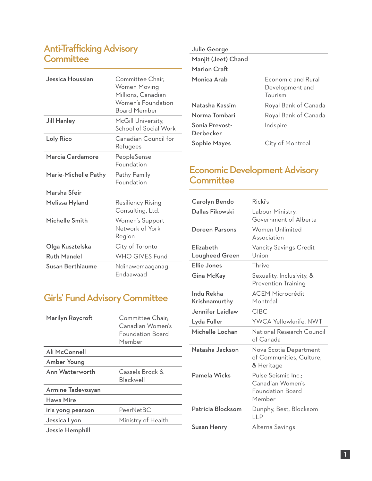#### Anti-Trafficking Advisory **Committee**

| Jessica Houssian     | Committee Chair,<br>Women Moving<br>Millions, Canadian<br>Women's Foundation<br><b>Board Member</b> |
|----------------------|-----------------------------------------------------------------------------------------------------|
| <b>Jill Hanley</b>   | McGill University,<br>School of Social Work                                                         |
| Loly Rico            | Canadian Council for<br>Refugees                                                                    |
| Marcia Cardamore     | PeopleSense<br>Foundation                                                                           |
| Marie-Michelle Pathy | Pathy Family<br>Foundation                                                                          |
| Marsha Sfeir         |                                                                                                     |
| Melissa Hyland       | Resiliency Rising<br>Consulting, Ltd.                                                               |
| Michelle Smith       | Women's Support<br>Network of York<br>Region                                                        |
| Olga Kusztelska      | City of Toronto                                                                                     |
| <b>Ruth Mandel</b>   | <b>WHO GIVES Fund</b>                                                                               |
| Susan Berthiaume     | Ndinawemaaganag<br>Endaawaad                                                                        |

#### Girls' Fund Advisory Committee

| Marilyn Roycroft  | Committee Chair:<br>Canadian Women's<br>Foundation Board<br>Member |
|-------------------|--------------------------------------------------------------------|
| Ali McConnell     |                                                                    |
| Amber Young       |                                                                    |
| Ann Watterworth   | Cassels Brock &<br>Blackwell                                       |
| Armine Tadevosyan |                                                                    |
| Hawa Mire         |                                                                    |
| iris yong pearson | PeerNetBC                                                          |
| Jessica Lyon      | Ministry of Health                                                 |
| Jessie Hemphill   |                                                                    |

| <b>Julie George</b>         |                                                         |
|-----------------------------|---------------------------------------------------------|
| Manjit (Jeet) Chand         |                                                         |
| Marion Craft                |                                                         |
| Monica Arab                 | <b>Economic and Rural</b><br>Development and<br>Tourism |
| Natasha Kassim              | Royal Bank of Canada                                    |
| Norma Tombari               | Royal Bank of Canada                                    |
| Sonia Prevost-<br>Derbecker | Indspire                                                |
| Sophie Mayes                | City of Montreal                                        |

#### - Economic Development Advisory **Committee**

| Carolyn Bendo                      | Ricki's                                                               |
|------------------------------------|-----------------------------------------------------------------------|
| Dallas Fikowski                    | Labour Ministry,<br>Government of Alberta                             |
| Doreen Parsons                     | Women Unlimited<br>Association                                        |
| Flizabeth<br><b>Lougheed Green</b> | Vancity Savings Credit<br>Union                                       |
| Ellie Jones                        | Thrive                                                                |
| Gina McKay                         | Sexuality, Inclusivity, &<br><b>Prevention Training</b>               |
| Indu Rekha<br>Krishnamurthy        | <b>ACEM Microcrédit</b><br>Montréal                                   |
| Jennifer Laidlaw                   | <b>CIBC</b>                                                           |
| Lyda Fuller                        | YWCA Yellowknife, NWT                                                 |
| Michelle Lochan                    | National Research Council<br>of Canada                                |
| Natasha Jackson                    | Nova Scotia Department<br>of Communities, Culture,<br>& Heritage      |
| Pamela Wicks                       | Pulse Seismic Inc.:<br>Canadian Women's<br>Foundation Board<br>Member |
| Patricia Blocksom                  | Dunphy, Best, Blocksom<br>LLP                                         |
| Susan Henry                        | Alterna Savings                                                       |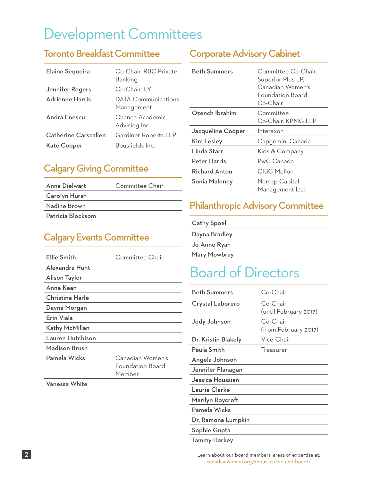## Development Committees

#### Toronto Breakfast Committee

| <b>Elaine Sequeira</b> | Co-Chair, RBC Private<br>Banking         |
|------------------------|------------------------------------------|
| Jennifer Rogers        | Co-Chair, EY                             |
| <b>Adrienne Harris</b> | <b>DATA Communications</b><br>Management |
| Andra Enescu           | Chance Academic<br>Advising Inc.         |
| Catherine Carscallen   | Gardiner Roberts LLP                     |
| Kate Cooper            | Bousfields Inc.                          |

#### Calgary Giving Committee

| Anna Dielwart        | Committee Chair |
|----------------------|-----------------|
| <b>Carolyn Hursh</b> |                 |
| Nadine Brown         |                 |
| Patricia Blocksom    |                 |

#### Calgary Events Committee

| Ellie Smith            | Committee Chair                                |
|------------------------|------------------------------------------------|
| Alexandra Hunt         |                                                |
| Alison Taylor          |                                                |
| Anne Kean              |                                                |
| <b>Christine Harle</b> |                                                |
| Dayna Morgan           |                                                |
| Erin Viala             |                                                |
| Kathy McMillan         |                                                |
| Lauren Hutchison       |                                                |
| Madison Brush          |                                                |
| Pamela Wicks           | Canadian Women's<br>Foundation Board<br>Member |

Vanessa White

#### Corporate Advisory Cabinet

| Beth Summers         | Committee Co-Chair,<br>Superior Plus LP,<br>Canadian Women's<br>Foundation Board<br>Co-Chair |
|----------------------|----------------------------------------------------------------------------------------------|
| Ozench Ibrahim       | Committee<br>Co-Chair, KPMG LLP                                                              |
| Jacqueline Cooper    | Interaxon                                                                                    |
| <b>Kim Lesley</b>    | Capgemini Canada                                                                             |
| Linda Starr          | Kids & Company                                                                               |
| Peter Harris         | PwC Canada                                                                                   |
| <b>Richard Anton</b> | CIBC Mellon                                                                                  |
| Sonia Maloney        | Norrep Capital<br>Management Ltd.                                                            |

#### Philanthropic Advisory Committee

Cathy Spoel

Dayna Bradley

Jo-Anne Ryan

Mary Mowbray

### Board of Directors

| <b>Beth Summers</b> | Co-Chair                          |
|---------------------|-----------------------------------|
| Crystal Laborero    | Co-Chair<br>(until February 2017) |
| Jody Johnson        | Co-Chair<br>(from February 2017)  |
| Dr. Kristin Blakely | Vice-Chair                        |
| Paula Smith         | Treasurer                         |
| Angela Johnson      |                                   |
| Jennifer Flanagan   |                                   |
| Jessica Houssian    |                                   |
| Laurie Clarke       |                                   |
| Marilyn Roycroft    |                                   |
| Pamela Wicks        |                                   |
| Dr. Ramona Lumpkin  |                                   |
| Sophie Gupta        |                                   |

Tammy Harkey

Learn about our board members' areas of expertise at: canadianwomen.org/about-us/ceo-and-board/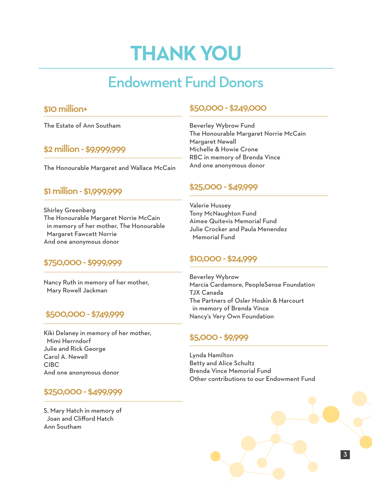## Endowment Fund Donors

#### \$10 million+

The Estate of Ann Southam

#### \$2 million - \$9,999,999

The Honourable Margaret and Wallace McCain

#### \$1 million - \$1,999,999

Shirley Greenberg The Honourable Margaret Norrie McCain in memory of her mother, The Honourable Margaret Fawcett Norrie And one anonymous donor

#### \$750,000 - \$999,999

Nancy Ruth in memory of her mother, Mary Rowell Jackman

#### \$500,000 - \$749,999

Kiki Delaney in memory of her mother, Mimi Herrndorf Julie and Rick George Carol A. Newell CIBC And one anonymous donor

#### \$250,000 - \$499,999

S. Mary Hatch in memory of Joan and Clifford Hatch Ann Southam

#### \$50,000 - \$249,000

Beverley Wybrow Fund The Honourable Margaret Norrie McCain Margaret Newall Michelle & Howie Crone RBC in memory of Brenda Vince And one anonymous donor

#### \$25,000 - \$49,999

Valerie Hussey Tony McNaughton Fund Aimee Quitevis Memorial Fund Julie Crocker and Paula Menendez Memorial Fund

#### \$10,000 - \$24,999

Beverley Wybrow Marcia Cardamore, PeopleSense Foundation TJX Canada The Partners of Osler Hoskin & Harcourt in memory of Brenda Vince Nancy's Very Own Foundation

#### \$5,000 - \$9,999

Lynda Hamilton Betty and Alice Schultz Brenda Vince Memorial Fund Other contributions to our Endowment Fund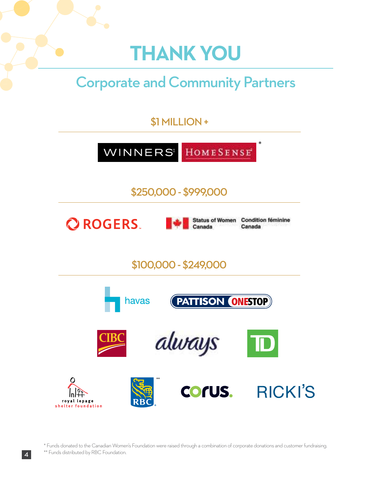

## Corporate and Community Partners

#### \$1 MILLION +



4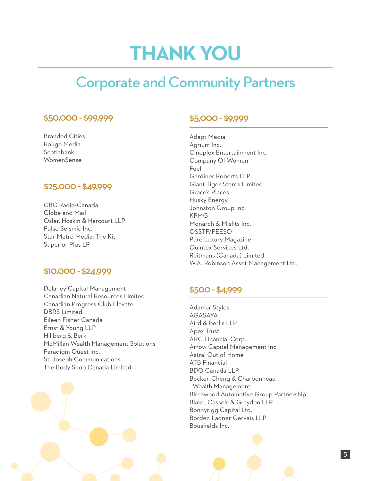## Corporate and Community Partners

#### \$50,000 - \$99,999

Branded Cities Rouge Media Scotiabank WomenSense

#### \$25,000 - \$49,999

CBC Radio-Canada Globe and Mail Osler, Hoskin & Harcourt LLP Pulse Seismic Inc. Star Metro Media: The Kit Superior Plus LP

#### \$10,000 - \$24,999

Delaney Capital Management Canadian Natural Resources Limited Canadian Progress Club Elevate DBRS Limited Eileen Fisher Canada Ernst & Young LLP Hillberg & Berk McMillan Wealth Management Solutions Paradigm Quest Inc. St. Joseph Communications The Body Shop Canada Limited



#### \$5,000 - \$9,999

Adapt Media Agrium Inc. Cineplex Entertainment Inc. Company Of Women Fuel Gardiner Roberts LLP Giant Tiger Stores Limited Grace's Places Husky Energy Johnston Group Inc. KPMG Monarch & Misfits Inc. OSSTF/FEESO Pure Luxury Magazine Quintex Services Ltd. Reitmans (Canada) Limited W.A. Robinson Asset Management Ltd.

#### \$500 - \$4,999

Adamar Styles AGASAYA Aird & Berlis LLP Apex Trust ARC Financial Corp. Arrow Capital Management Inc. Astral Out of Home ATB Financial BDO Canada LLP Becker, Cheng & Charbonneau Wealth Management Birchwood Automotive Group Partnership Blake, Cassels & Graydon LLP Bonnyrigg Capital Ltd. Borden Ladner Gervais LLP Bousfields Inc.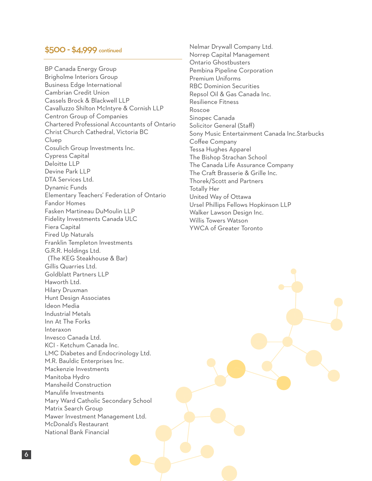#### \$500 - \$4,999 continued

BP Canada Energy Group Brigholme Interiors Group Business Edge International Cambrian Credit Union Cassels Brock & Blackwell LLP Cavalluzzo Shilton McIntyre & Cornish LLP Centron Group of Companies Chartered Professional Accountants of Ontario Christ Church Cathedral, Victoria BC Cluep Cosulich Group Investments Inc. Cypress Capital Deloitte LLP Devine Park LLP DTA Services Ltd. Dynamic Funds Elementary Teachers' Federation of Ontario Fandor Homes Fasken Martineau DuMoulin LLP Fidelity Investments Canada ULC Fiera Capital Fired Up Naturals Franklin Templeton Investments G.R.R. Holdings Ltd. (The KEG Steakhouse & Bar) Gillis Quarries Ltd. Goldblatt Partners LLP Haworth Ltd. Hilary Druxman Hunt Design Associates Ideon Media Industrial Metals Inn At The Forks Interaxon Invesco Canada Ltd. KCI - Ketchum Canada Inc. LMC Diabetes and Endocrinology Ltd. M.R. Bauldic Enterprises Inc. Mackenzie Investments Manitoba Hydro Mansheild Construction Manulife Investments Mary Ward Catholic Secondary School Matrix Search Group Mawer Investment Management Ltd. McDonald's Restaurant National Bank Financial

Nelmar Drywall Company Ltd. Norrep Capital Management Ontario Ghostbusters Pembina Pipeline Corporation Premium Uniforms RBC Dominion Securities Repsol Oil & Gas Canada Inc. Resilience Fitness Roscoe Sinopec Canada Solicitor General (Staff) Sony Music Entertainment Canada Inc.Starbucks Coffee Company Tessa Hughes Apparel The Bishop Strachan School The Canada Life Assurance Company The Craft Brasserie & Grille Inc. Thorek/Scott and Partners Totally Her United Way of Ottawa Ursel Phillips Fellows Hopkinson LLP Walker Lawson Design Inc. Willis Towers Watson YWCA of Greater Toronto

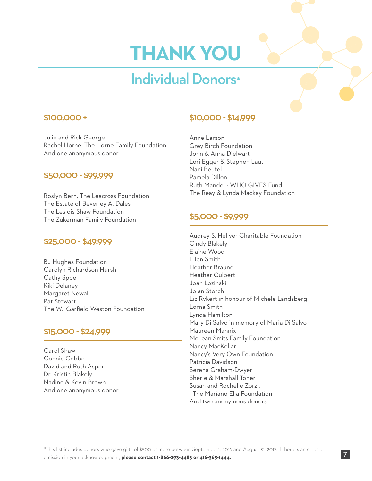## Individual Donors\*

#### \$100,000 +

Julie and Rick George Rachel Horne, The Horne Family Foundation And one anonymous donor

#### \$50,000 - \$99,999

Roslyn Bern, The Leacross Foundation The Estate of Beverley A. Dales The Leslois Shaw Foundation The Zukerman Family Foundation

#### \$25,000 - \$49,999

BJ Hughes Foundation Carolyn Richardson Hursh Cathy Spoel Kiki Delaney Margaret Newall Pat Stewart The W. Garfield Weston Foundation

#### \$15,000 - \$24,999

Carol Shaw Connie Cobbe David and Ruth Asper Dr. Kristin Blakely Nadine & Kevin Brown And one anonymous donor

#### \$10,000 - \$14,999

Anne Larson Grey Birch Foundation John & Anna Dielwart Lori Egger & Stephen Laut Nani Beutel Pamela Dillon Ruth Mandel - WHO GIVES Fund The Reay & Lynda Mackay Foundation

#### \$5,000 - \$9,999

Audrey S. Hellyer Charitable Foundation Cindy Blakely Elaine Wood Ellen Smith Heather Braund Heather Culbert Joan Lozinski Jolan Storch Liz Rykert in honour of Michele Landsberg Lorna Smith Lynda Hamilton Mary Di Salvo in memory of Maria Di Salvo Maureen Mannix McLean Smits Family Foundation Nancy MacKellar Nancy's Very Own Foundation Patricia Davidson Serena Graham-Dwyer Sherie & Marshall Toner Susan and Rochelle Zorzi, The Mariano Elia Foundation And two anonymous donors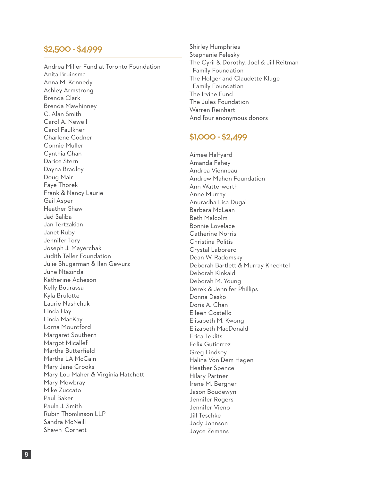#### \$2,500 - \$4,999

Andrea Miller Fund at Toronto Foundation Anita Bruinsma Anna M. Kennedy Ashley Armstrong Brenda Clark Brenda Mawhinney C. Alan Smith Carol A. Newell Carol Faulkner Charlene Codner Connie Muller Cynthia Chan Darice Stern Dayna Bradley Doug Mair Faye Thorek Frank & Nancy Laurie Gail Asper Heather Shaw Jad Saliba Jan Tertzakian Janet Ruby Jennifer Tory Joseph J. Mayerchak Judith Teller Foundation Julie Shugarman & Ilan Gewurz June Ntazinda Katherine Acheson Kelly Bourassa Kyla Brulotte Laurie Nashchuk Linda Hay Linda MacKay Lorna Mountford Margaret Southern Margot Micallef Martha Butterfield Martha LA McCain Mary Jane Crooks Mary Lou Maher & Virginia Hatchett Mary Mowbray Mike Zuccato Paul Baker Paula J. Smith Rubin Thomlinson LLP Sandra McNeill Shawn Cornett

Shirley Humphries Stephanie Felesky The Cyril & Dorothy, Joel & Jill Reitman Family Foundation The Holger and Claudette Kluge Family Foundation The Irvine Fund The Jules Foundation Warren Reinhart And four anonymous donors

#### \$1,000 - \$2,499

Aimee Halfyard Amanda Fahey Andrea Vienneau Andrew Mahon Foundation Ann Watterworth Anne Murray Anuradha Lisa Dugal Barbara McLean Beth Malcolm Bonnie Lovelace Catherine Norris Christina Politis Crystal Laborero Dean W. Radomsky Deborah Bartlett & Murray Knechtel Deborah Kinkaid Deborah M. Young Derek & Jennifer Phillips Donna Dasko Doris A. Chan Eileen Costello Elisabeth M. Kwong Elizabeth MacDonald Erica Teklits Felix Gutierrez Greg Lindsey Halina Von Dem Hagen Heather Spence Hilary Partner Irene M. Bergner Jason Boudewyn Jennifer Rogers Jennifer Vieno Jill Teschke Jody Johnson Joyce Zemans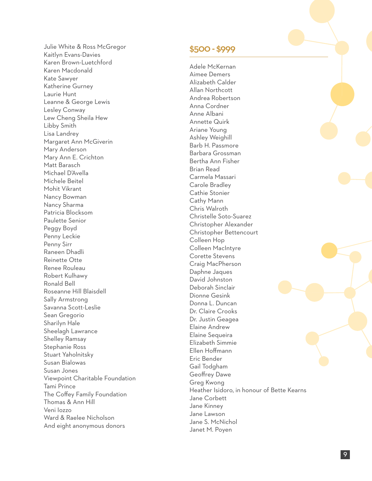Julie White & Ross McGregor Kaitlyn Evans-Davies Karen Brown-Luetchford Karen Macdonald Kate Sawyer Katherine Gurney Laurie Hunt Leanne & George Lewis Lesley Conway Lew Cheng Sheila Hew Libby Smith Lisa Landrey Margaret Ann McGiverin Mary Anderson Mary Ann E. Crichton Matt Barasch Michael D'Avella Michele Beitel Mohit Vikrant Nancy Bowman Nancy Sharma Patricia Blocksom Paulette Senior Peggy Boyd Penny Leckie Penny Sirr Raneen Dhadli Reinette Otte Renee Rouleau Robert Kulhawy Ronald Bell Roseanne Hill Blaisdell Sally Armstrong Savanna Scott-Leslie Sean Gregorio Sharilyn Hale Sheelagh Lawrance Shelley Ramsay Stephanie Ross Stuart Yaholnitsky Susan Bialowas Susan Jones Viewpoint Charitable Foundation Tami Prince The Coffey Family Foundation Thomas & Ann Hill Veni Iozzo Ward & Raelee Nicholson And eight anonymous donors

#### \$500 - \$999

Adele McKernan Aimee Demers Alizabeth Calder Allan Northcott Andrea Robertson Anna Cordner Anne Albani Annette Quirk Ariane Young Ashley Weighill Barb H. Passmore Barbara Grossman Bertha Ann Fisher Brian Read Carmela Massari Carole Bradley Cathie Stonier Cathy Mann Chris Walroth Christelle Soto-Suarez Christopher Alexander Christopher Bettencourt Colleen Hop Colleen MacIntyre Corette Stevens Craig MacPherson Daphne Jaques David Johnston Deborah Sinclair Dionne Gesink Donna L. Duncan Dr. Claire Crooks Dr. Justin Geagea Elaine Andrew Elaine Sequeira Elizabeth Simmie Ellen Hoffmann Eric Bender Gail Todgham Geoffrey Dawe Greg Kwong Heather Isidoro, in honour of Bette Kearns Jane Corbett Jane Kinney Jane Lawson Jane S. McNichol Janet M. Poyen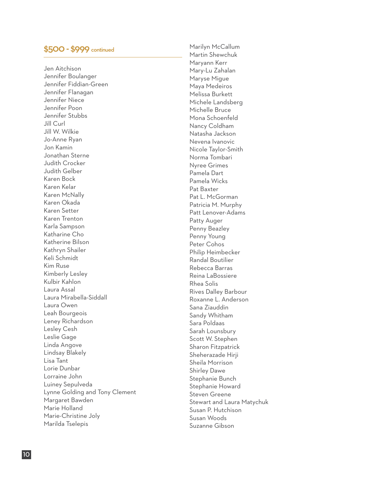#### \$500 - \$999 continued

Jen Aitchison Jennifer Boulanger Jennifer Fiddian-Green Jennifer Flanagan Jennifer Niece Jennifer Poon Jennifer Stubbs Jill Curl Jill W. Wilkie Jo-Anne Ryan Jon Kamin Jonathan Sterne Judith Crocker Judith Gelber Karen Bock Karen Kelar Karen McNally Karen Okada Karen Setter Karen Trenton Karla Sampson Katharine Cho Katherine Bilson Kathryn Shailer Keli Schmidt Kim Ruse Kimberly Lesley Kulbir Kahlon Laura Assal Laura Mirabella-Siddall Laura Owen Leah Bourgeois Leney Richardson Lesley Cesh Leslie Gage Linda Angove Lindsay Blakely Lisa Tant Lorie Dunbar Lorraine John Luiney Sepulveda Lynne Golding and Tony Clement Margaret Bawden Marie Holland Marie-Christine Joly Marilda Tselepis

Marilyn McCallum Martin Shewchuk Maryann Kerr Mary-Lu Zahalan Maryse Migue Maya Medeiros Melissa Burkett Michele Landsberg Michelle Bruce Mona Schoenfeld Nancy Coldham Natasha Jackson Nevena Ivanovic Nicole Taylor-Smith Norma Tombari Nyree Grimes Pamela Dart Pamela Wicks Pat Baxter Pat L. McGorman Patricia M. Murphy Patt Lenover-Adams Patty Auger Penny Beazley Penny Young Peter Cohos Philip Heimbecker Randal Boutilier Rebecca Barras Reina LaBossiere Rhea Solis Rives Dalley Barbour Roxanne L. Anderson Sana Ziauddin Sandy Whitham Sara Poldaas Sarah Lounsbury Scott W. Stephen Sharon Fitzpatrick Sheherazade Hirji Sheila Morrison Shirley Dawe Stephanie Bunch Stephanie Howard Steven Greene Stewart and Laura Matychuk Susan P. Hutchison Susan Woods Suzanne Gibson